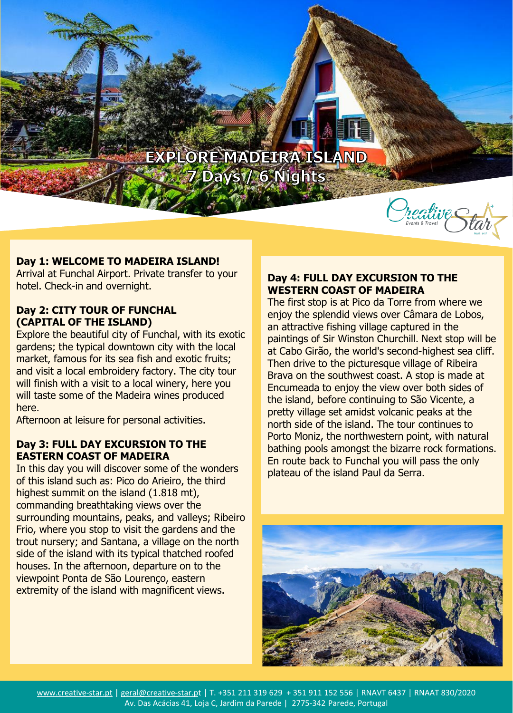## EXPLORE MADEIRA ISLAND **7 Days1/ 6 Nights**



## **Day 1: WELCOME TO MADEIRA ISLAND!**

Arrival at Funchal Airport. Private transfer to your hotel. Check-in and overnight.

#### **Day 2: CITY TOUR OF FUNCHAL (CAPITAL OF THE ISLAND)**

Explore the beautiful city of Funchal, with its exotic gardens; the typical downtown city with the local market, famous for its sea fish and exotic fruits; and visit a local embroidery factory. The city tour will finish with a visit to a local winery, here you will taste some of the Madeira wines produced here.

Afternoon at leisure for personal activities.

### **Day 3: FULL DAY EXCURSION TO THE EASTERN COAST OF MADEIRA**

In this day you will discover some of the wonders of this island such as: Pico do Arieiro, the third highest summit on the island (1.818 mt), commanding breathtaking views over the surrounding mountains, peaks, and valleys; Ribeiro Frio, where you stop to visit the gardens and the trout nursery; and Santana, a village on the north side of the island with its typical thatched roofed houses. In the afternoon, departure on to the viewpoint Ponta de São Lourenço, eastern extremity of the island with magnificent views.

#### **Day 4: FULL DAY EXCURSION TO THE WESTERN COAST OF MADEIRA**

The first stop is at Pico da Torre from where we enjoy the splendid views over Câmara de Lobos, an attractive fishing village captured in the paintings of Sir Winston Churchill. Next stop will be at Cabo Girão, the world's second-highest sea cliff. Then drive to the picturesque village of Ribeira Brava on the southwest coast. A stop is made at Encumeada to enjoy the view over both sides of the island, before continuing to São Vicente, a pretty village set amidst volcanic peaks at the north side of the island. The tour continues to Porto Moniz, the northwestern point, with natural bathing pools amongst the bizarre rock formations. En route back to Funchal you will pass the only plateau of the island Paul da Serra.

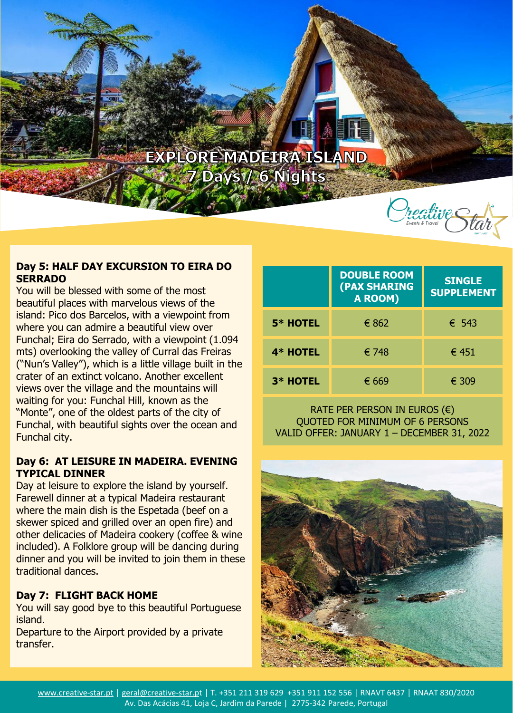## EXPLORE MADEIRA ISLAND **7 Days1/ 6 Nights**

#### **Day 5: HALF DAY EXCURSION TO EIRA DO SERRADO**

You will be blessed with some of the most beautiful places with marvelous views of the island: Pico dos Barcelos, with a viewpoint from where you can admire a beautiful view over Funchal; Eira do Serrado, with a viewpoint (1.094 mts) overlooking the valley of Curral das Freiras ("Nun's Valley"), which is a little village built in the crater of an extinct volcano. Another excellent views over the village and the mountains will waiting for you: Funchal Hill, known as the "Monte", one of the oldest parts of the city of Funchal, with beautiful sights over the ocean and Funchal city.

## **Day 6: AT LEISURE IN MADEIRA. EVENING TYPICAL DINNER**

Day at leisure to explore the island by yourself. Farewell dinner at a typical Madeira restaurant where the main dish is the Espetada (beef on a skewer spiced and grilled over an open fire) and other delicacies of Madeira cookery (coffee & wine included). A Folklore group will be dancing during dinner and you will be invited to join them in these traditional dances.

## **Day 7: FLIGHT BACK HOME**

You will say good bye to this beautiful Portuguese island.

Departure to the Airport provided by a private transfer.

|                 | <b>DOUBLE ROOM</b><br>(PAX SHARING<br>A ROOM) | <b>SINGLE</b><br><b>SUPPLEMENT</b> |
|-----------------|-----------------------------------------------|------------------------------------|
| <b>5* HOTEL</b> | € 862                                         | $\epsilon$ 543                     |
| 4* HOTEL        | € 748                                         | € 451                              |
| 3* HOTEL        | € 669                                         | € 309                              |

#### RATE PER PERSON IN EUROS (€) QUOTED FOR MINIMUM OF 6 PERSONS VALID OFFER: JANUARY 1 – DECEMBER 31, 2022